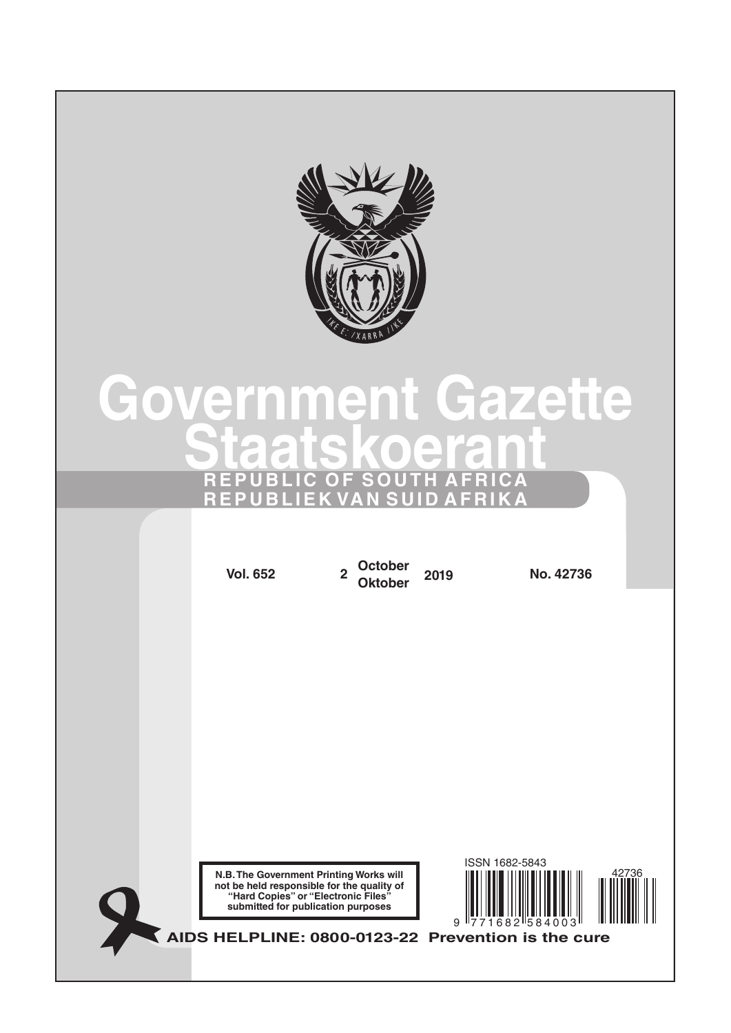

# **[Government](http://www.greengazette.co.za/government-gazette) [Gazette](http://www.greengazette.co.za/government-gazette) [Staatskoerant](http://www.greengazette.co.za/staatskoerant) REPUBLIC OF SOUTH AFRICA REPUBLIEK VAN SUID AFRIKA**

**N.B. The Government Printing Works will not be held responsible for the quality of "Hard Copies" or "Electronic Files" submitted for publication purposes AIDS HELPLINE: 0800-0123-22 Prevention is the cure Vol. 652 <sup>2</sup> October Oktober <sup>2019</sup> No. 42736** 9 771682 584003 ISSN 1682-5843 42736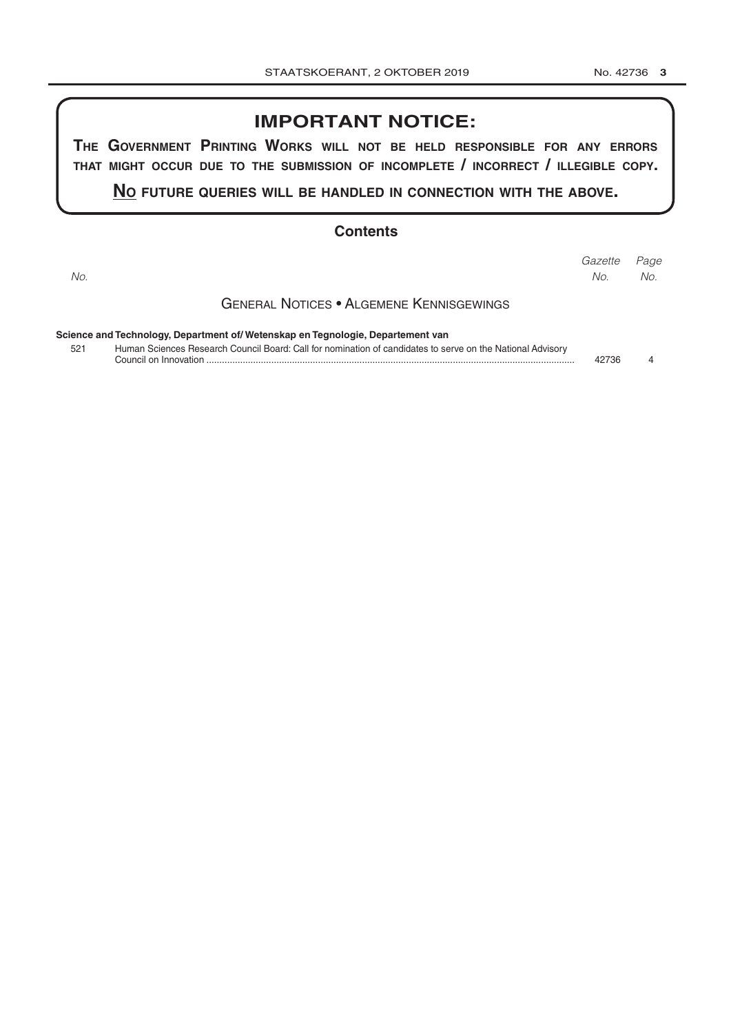# **IMPORTANT NOTICE:**

**The GovernmenT PrinTinG Works Will noT be held resPonsible for any errors ThaT miGhT occur due To The submission of incomPleTe / incorrecT / illeGible coPy.**

**no fuTure queries Will be handled in connecTion WiTh The above.**

### **Contents**

| No. |                                                                                                            | Gazette<br>No. | Page<br>No. |
|-----|------------------------------------------------------------------------------------------------------------|----------------|-------------|
|     | <b>GENERAL NOTICES • ALGEMENE KENNISGEWINGS</b>                                                            |                |             |
|     | Science and Technology, Department of/ Wetenskap en Tegnologie, Departement van                            |                |             |
| 521 | Human Sciences Research Council Board: Call for nomination of candidates to serve on the National Advisory | 42736          |             |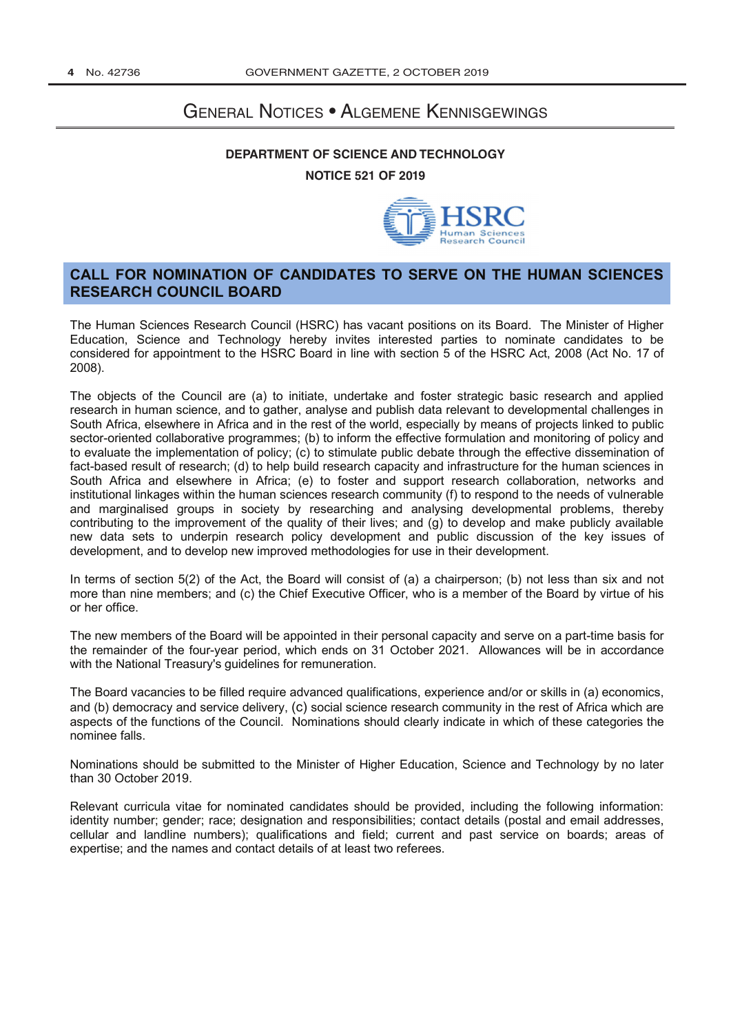# General Notices • Algemene Kennisgewings

## **[DEPARTMENT OF SCIENCE AND TECHNOLOGY](http://www.greengazette.co.za/departments/science) NOTICE 521 OF 2019**



## **CALL FOR NOMINATION OF CANDIDATES TO SERVE ON THE HUMAN SCIENCES RESEARCH COUNCIL BOARD**

The Human Sciences Research Council (HSRC) has vacant positions on its Board. The Minister of Higher Education, Science and Technology hereby invites interested parties to nominate candidates to be considered for appointment to the HSRC Board in line with section 5 of the HSRC Act, 2008 (Act No. 17 of 2008).

The objects of the Council are (a) to initiate, undertake and foster strategic basic research and applied research in human science, and to gather, analyse and publish data relevant to developmental challenges in South Africa, elsewhere in Africa and in the rest of the world, especially by means of projects linked to public sector-oriented collaborative programmes; (b) to inform the effective formulation and monitoring of policy and to evaluate the implementation of policy; (c) to stimulate public debate through the effective dissemination of fact-based result of research; (d) to help build research capacity and infrastructure for the human sciences in South Africa and elsewhere in Africa; (e) to foster and support research collaboration, networks and institutional linkages within the human sciences research community (f) to respond to the needs of vulnerable and marginalised groups in society by researching and analysing developmental problems, thereby contributing to the improvement of the quality of their lives; and (g) to develop and make publicly available new data sets to underpin research policy development and public discussion of the key issues of development, and to develop new improved methodologies for use in their development.

In terms of section 5(2) of the Act, the Board will consist of (a) a chairperson; (b) not less than six and not more than nine members; and (c) the Chief Executive Officer, who is a member of the Board by virtue of his or her office.

The new members of the Board will be appointed in their personal capacity and serve on a part-time basis for the remainder of the four-year period, which ends on 31 October 2021. Allowances will be in accordance with the [National Treasury's](http://www.greengazette.co.za/departments/national-treasury) guidelines for remuneration.

The Board vacancies to be filled require advanced qualifications, experience and/or or skills in (a) economics, and (b) democracy and service delivery, (c) social science research community in the rest of Africa which are aspects of the functions of the Council. Nominations should clearly indicate in which of these categories the nominee falls.

Nominations should be submitted to the Minister of Higher Education, Science and Technology by no later than 30 October 2019.

Relevant curricula vitae for nominated candidates should be provided, including the following information: identity number; gender; race; designation and responsibilities; contact details (postal and email addresses, cellular and landline numbers); qualifications and field; current and past service on boards; areas of expertise; and the names and contact details of at least two referees.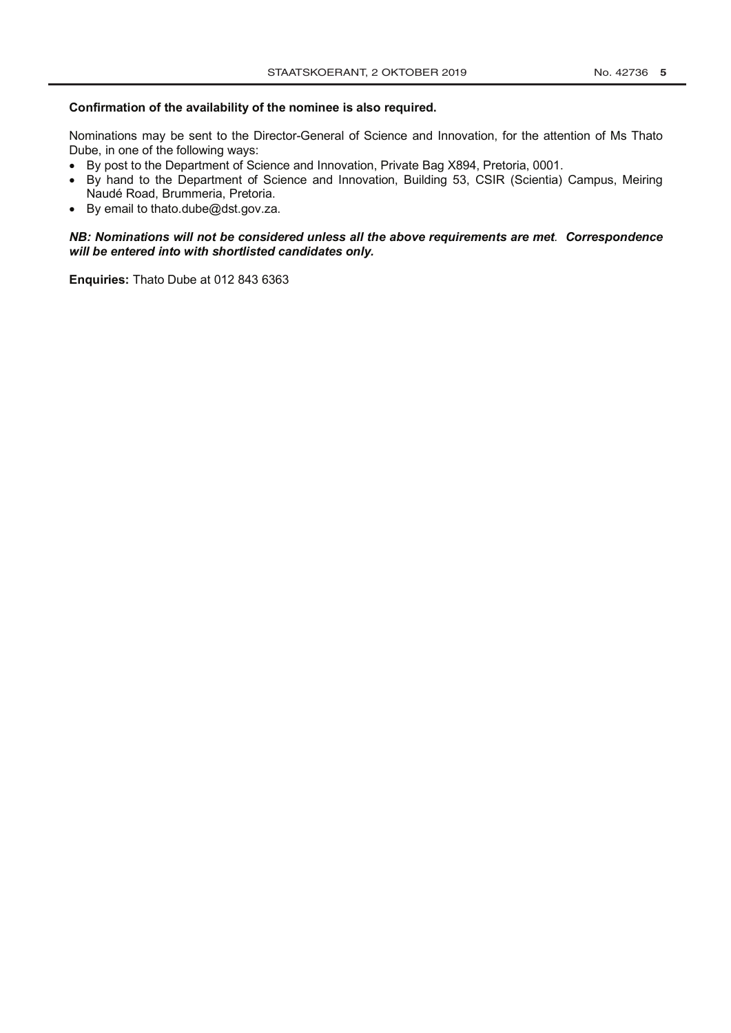#### **Confirmation of the availability of the nominee is also required.**

Nominations may be sent to the Director-General of Science and Innovation, for the attention of Ms Thato Dube, in one of the following ways:

- By post to the Department of Science and Innovation, Private Bag X894, Pretoria, 0001.
- By hand to the Department of Science and Innovation, Building 53, CSIR (Scientia) Campus, Meiring Naudé Road, Brummeria, Pretoria.
- By email to thato.dube@dst.gov.za.

#### *NB: Nominations will not be considered unless all the above requirements are met. Correspondence will be entered into with shortlisted candidates only.*

**Enquiries:** Thato Dube at 012 843 6363